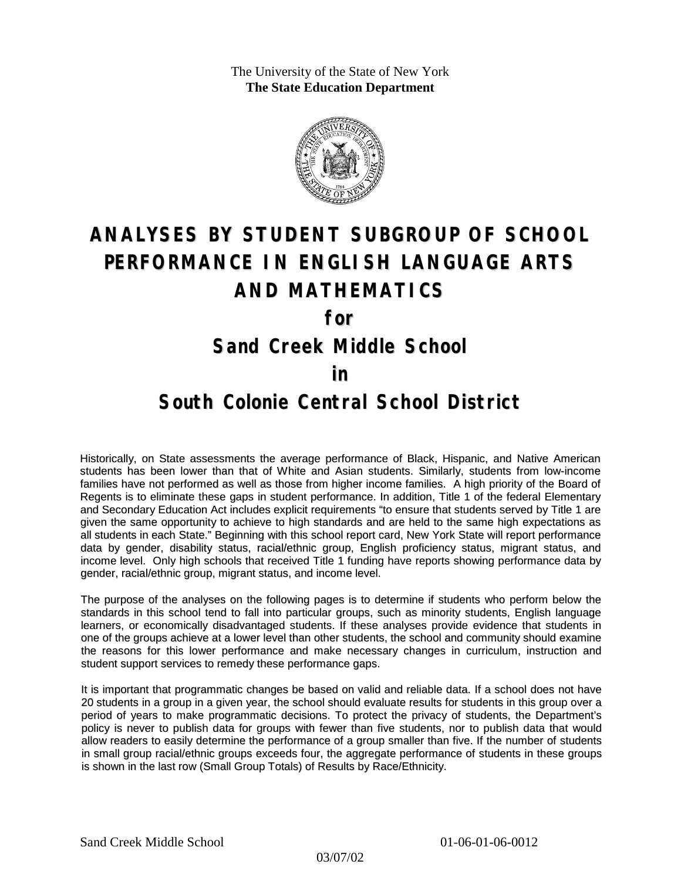The University of the State of New York **The State Education Department**



# **ANALYSES BY STUDENT SUBGROUP OF SCHOOL PERFORMANCE IN ENGLISH LANGUAGE ARTS AND MATHEMATICS**

**for**

### **Sand Creek Middle School**

#### **in**

### **South Colonie Central School District**

Historically, on State assessments the average performance of Black, Hispanic, and Native American students has been lower than that of White and Asian students. Similarly, students from low-income families have not performed as well as those from higher income families. A high priority of the Board of Regents is to eliminate these gaps in student performance. In addition, Title 1 of the federal Elementary and Secondary Education Act includes explicit requirements "to ensure that students served by Title 1 are given the same opportunity to achieve to high standards and are held to the same high expectations as all students in each State." Beginning with this school report card, New York State will report performance data by gender, disability status, racial/ethnic group, English proficiency status, migrant status, and income level. Only high schools that received Title 1 funding have reports showing performance data by gender, racial/ethnic group, migrant status, and income level.

The purpose of the analyses on the following pages is to determine if students who perform below the standards in this school tend to fall into particular groups, such as minority students, English language learners, or economically disadvantaged students. If these analyses provide evidence that students in one of the groups achieve at a lower level than other students, the school and community should examine the reasons for this lower performance and make necessary changes in curriculum, instruction and student support services to remedy these performance gaps.

It is important that programmatic changes be based on valid and reliable data. If a school does not have 20 students in a group in a given year, the school should evaluate results for students in this group over a period of years to make programmatic decisions. To protect the privacy of students, the Department's policy is never to publish data for groups with fewer than five students, nor to publish data that would allow readers to easily determine the performance of a group smaller than five. If the number of students in small group racial/ethnic groups exceeds four, the aggregate performance of students in these groups is shown in the last row (Small Group Totals) of Results by Race/Ethnicity.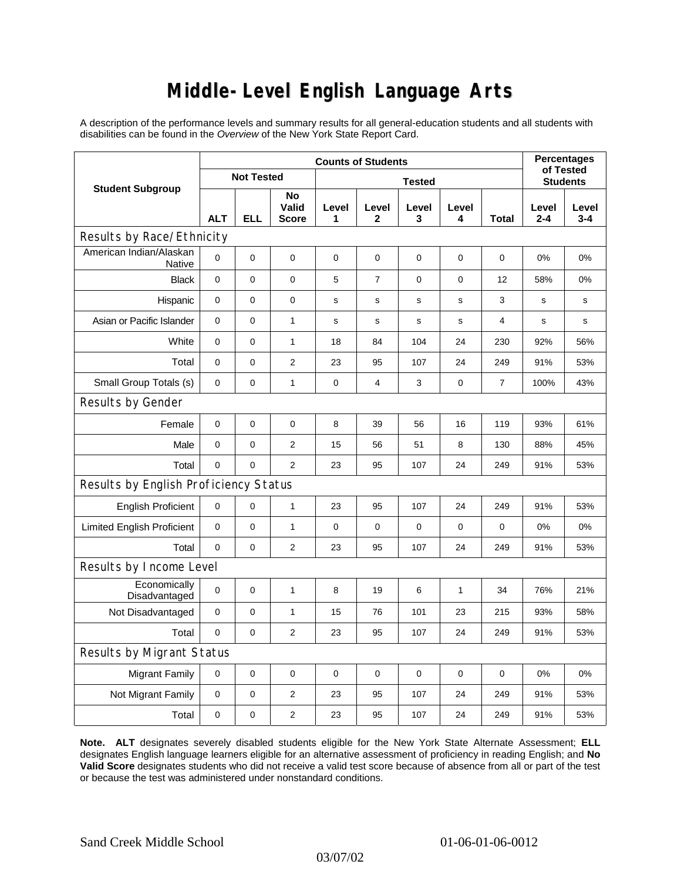# **Middle-Level English Language Arts**

A description of the performance levels and summary results for all general-education students and all students with disabilities can be found in the *Overview* of the New York State Report Card.

| <b>Student Subgroup</b>               | <b>Counts of Students</b> |             |                             |               |                       |              |              |                | <b>Percentages</b><br>of Tested |              |  |
|---------------------------------------|---------------------------|-------------|-----------------------------|---------------|-----------------------|--------------|--------------|----------------|---------------------------------|--------------|--|
|                                       | <b>Not Tested</b>         |             |                             | <b>Tested</b> |                       |              |              |                | <b>Students</b>                 |              |  |
|                                       | <b>ALT</b>                | <b>ELL</b>  | No<br>Valid<br><b>Score</b> | Level<br>1    | Level<br>$\mathbf{2}$ | Level<br>3   | Level<br>4   | Total          | Level<br>$2 - 4$                | Level<br>3-4 |  |
| Results by Race/Ethnicity             |                           |             |                             |               |                       |              |              |                |                                 |              |  |
| American Indian/Alaskan<br>Native     | 0                         | $\mathbf 0$ | 0                           | $\mathbf 0$   | 0                     | $\mathbf 0$  | $\mathbf 0$  | 0              | 0%                              | 0%           |  |
| <b>Black</b>                          | $\mathbf{0}$              | 0           | $\mathbf 0$                 | 5             | $\overline{7}$        | $\mathbf 0$  | $\mathbf 0$  | 12             | 58%                             | 0%           |  |
| Hispanic                              | 0                         | 0           | $\pmb{0}$                   | s             | s                     | s            | s            | 3              | s                               | s            |  |
| Asian or Pacific Islander             | $\mathbf{0}$              | 0           | 1                           | $\mathbf s$   | $\mathbf s$           | $\mathsf{s}$ | s            | 4              | s                               | s            |  |
| White                                 | 0                         | 0           | $\mathbf{1}$                | 18            | 84                    | 104          | 24           | 230            | 92%                             | 56%          |  |
| Total                                 | $\pmb{0}$                 | 0           | $\overline{2}$              | 23            | 95                    | 107          | 24           | 249            | 91%                             | 53%          |  |
| Small Group Totals (s)                | 0                         | 0           | 1                           | 0             | $\overline{4}$        | 3            | 0            | $\overline{7}$ | 100%                            | 43%          |  |
| Results by Gender                     |                           |             |                             |               |                       |              |              |                |                                 |              |  |
| Female                                | $\pmb{0}$                 | 0           | $\mathbf 0$                 | 8             | 39                    | 56           | 16           | 119            | 93%                             | 61%          |  |
| Male                                  | 0                         | 0           | 2                           | 15            | 56                    | 51           | 8            | 130            | 88%                             | 45%          |  |
| Total                                 | 0                         | 0           | $\overline{2}$              | 23            | 95                    | 107          | 24           | 249            | 91%                             | 53%          |  |
| Results by English Proficiency Status |                           |             |                             |               |                       |              |              |                |                                 |              |  |
| <b>English Proficient</b>             | 0                         | 0           | 1                           | 23            | 95                    | 107          | 24           | 249            | 91%                             | 53%          |  |
| <b>Limited English Proficient</b>     | $\pmb{0}$                 | 0           | $\mathbf{1}$                | $\mathbf 0$   | $\mathbf 0$           | $\mathbf 0$  | $\mathbf 0$  | 0              | 0%                              | 0%           |  |
| Total                                 | $\Omega$                  | $\pmb{0}$   | $\overline{2}$              | 23            | 95                    | 107          | 24           | 249            | 91%                             | 53%          |  |
| Results by Income Level               |                           |             |                             |               |                       |              |              |                |                                 |              |  |
| Economically<br>Disadvantaged         | $\Omega$                  | 0           | $\mathbf{1}$                | 8             | 19                    | 6            | $\mathbf{1}$ | 34             | 76%                             | 21%          |  |
| Not Disadvantaged                     | 0                         | 0           | 1                           | 15            | 76                    | 101          | 23           | 215            | 93%                             | 58%          |  |
| Total                                 | $\mathbf 0$               | 0           | $\overline{2}$              | 23            | 95                    | 107          | 24           | 249            | 91%                             | 53%          |  |
| <b>Results by Migrant Status</b>      |                           |             |                             |               |                       |              |              |                |                                 |              |  |
| <b>Migrant Family</b>                 | 0                         | 0           | 0                           | $\mathbf 0$   | $\mathbf 0$           | $\mathbf 0$  | 0            | 0              | 0%                              | 0%           |  |
| Not Migrant Family                    | 0                         | 0           | $\overline{2}$              | 23            | 95                    | 107          | 24           | 249            | 91%                             | 53%          |  |
| Total                                 | 0                         | 0           | $\overline{2}$              | 23            | 95                    | 107          | 24           | 249            | 91%                             | 53%          |  |

**Note. ALT** designates severely disabled students eligible for the New York State Alternate Assessment; **ELL** designates English language learners eligible for an alternative assessment of proficiency in reading English; and **No Valid Score** designates students who did not receive a valid test score because of absence from all or part of the test or because the test was administered under nonstandard conditions.